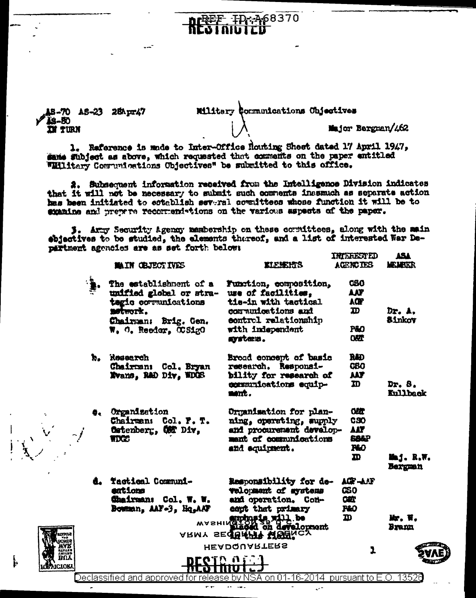15-70 AS-23 28Apr47 **IS-80 IN TURN** 

**CIOK** 

Military Communications Chiectives Major Bergman/462

68370

1. Raference is made to Inter-Office Houting Sheet dated 17 April 1947, same subject as above, which requested that comments on the paper entitled Williary Communications Objectives" be submitted to this office.

2. Subsequent information received from the Intelligence Division indicates that it will not be necessary to submit such comments inesmuch as separate action has been initiated to establish several committees whose function it will be to examine and prepare recommendations on the various aspects of the paper.

3. Army Security Agency membership on these cormittees, along with the main ebjectives to be studied, the elements thereof, and a list of interested War Department agencies are as set forth below:

|    | <b>MAIN CEJECTIVES</b>                                                                                                                | <b>EIFSEHTS</b>                                                                                                                                    | iningen lu<br><b>AGENCIES</b>                                           | عجم<br><b>MEMBER</b>    |
|----|---------------------------------------------------------------------------------------------------------------------------------------|----------------------------------------------------------------------------------------------------------------------------------------------------|-------------------------------------------------------------------------|-------------------------|
|    | The establishment of a<br>unified global or stra-<br>tegic communications<br>metwork.<br>Chairman: Brig. Gen.<br>W. O. Reedor. OCS1gO | Function, composition,<br>use of facilities.<br>tie-in with tactical<br>communications and<br>control relationship<br>with independent<br>aysters. | <b>CSO</b><br>AIT<br>AŒ<br>$\mathbf{D}$<br><b>P&amp;O</b><br><b>OKT</b> | Dr. A.<br><b>Sinkov</b> |
| k, | Rosearch<br>Chairman<br>Col. Bryan<br>Nvans, R&D Div. WDOS                                                                            | Broad concept of basic<br>research. Responsi-<br>bility for research of<br>eggemnications equip-<br>ment.                                          | <b>RAD</b><br><b>CBO</b><br><b>MT</b><br>m                              | Dr. 8.<br>Kullback      |
|    | <b>4. Organization</b><br>Chairman:<br>Col. F. T.<br>Catenberg, Com Div,<br><b>TDGS</b>                                               | Organisation for plan-<br>ning, operating, supply<br>and procurement develop-<br>mant of communications<br>and equipment.                          | <b>CAST</b><br>CSO<br>AAT<br><b>SA&amp;P</b><br>860<br>m                | Mij. R.W.<br>Bergman    |
|    | d. Tactical Communi-<br>entions<br>Chairman: Col. W. W.<br>Bowman, AAF+3, Hq,AAF                                                      | Responsibility for de-<br>velopment of systems<br>and operation. Con-<br>eapt that primary<br>MASHINGTON'S MILL persons                            | ACP-ANT<br>යං<br>œr<br><b>P&amp;O</b><br>m                              | Мr. W.<br>Bramı         |
|    | 11.O I<br>eclassified and approved for release by NSA on 01-16-2014, pursuant to E.O.                                                 | ARMY SECTRAPT MOBACY<br><b>HEADQUARTERS</b>                                                                                                        | 1                                                                       | 1352A                   |

 $\sim$  -